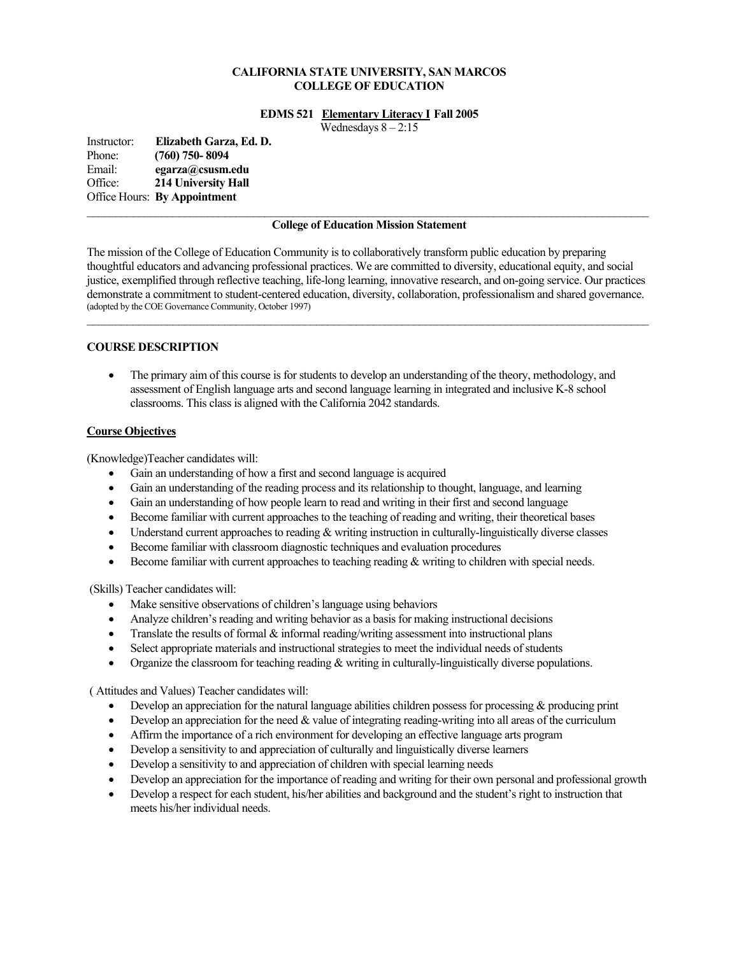## **CALIFORNIA STATE UNIVERSITY, SAN MARCOS COLLEGE OF EDUCATION**

### **EDMS 521 Elementary Literacy I Fall 2005**

Wednesdays  $8 - 2:15$ 

Instructor: **Elizabeth Garza, Ed. D.**  Phone: **(760) 750- 8094**  Email: **egarza@csusm.edu** Office: **214 University Hall**  Office Hours: **By Appointment**

### **College of Education Mission Statement**

The mission of the College of Education Community is to collaboratively transform public education by preparing thoughtful educators and advancing professional practices. We are committed to diversity, educational equity, and social justice, exemplified through reflective teaching, life-long learning, innovative research, and on-going service. Our practices demonstrate a commitment to student-centered education, diversity, collaboration, professionalism and shared governance. (adopted by the COE Governance Community, October 1997)  $\mathcal{L}_\mathcal{L} = \{ \mathcal{L}_\mathcal{L} = \{ \mathcal{L}_\mathcal{L} = \{ \mathcal{L}_\mathcal{L} = \{ \mathcal{L}_\mathcal{L} = \{ \mathcal{L}_\mathcal{L} = \{ \mathcal{L}_\mathcal{L} = \{ \mathcal{L}_\mathcal{L} = \{ \mathcal{L}_\mathcal{L} = \{ \mathcal{L}_\mathcal{L} = \{ \mathcal{L}_\mathcal{L} = \{ \mathcal{L}_\mathcal{L} = \{ \mathcal{L}_\mathcal{L} = \{ \mathcal{L}_\mathcal{L} = \{ \mathcal{L}_\mathcal{$ 

## **COURSE DESCRIPTION**

• The primary aim of this course is for students to develop an understanding of the theory, methodology, and assessment of English language arts and second language learning in integrated and inclusive K-8 school classrooms. This class is aligned with the California 2042 standards.

## **Course Objectives**

(Knowledge)Teacher candidates will:

- Gain an understanding of how a first and second language is acquired
- Gain an understanding of the reading process and its relationship to thought, language, and learning
- Gain an understanding of how people learn to read and writing in their first and second language
- Become familiar with current approaches to the teaching of reading and writing, their theoretical bases
- Understand current approaches to reading & writing instruction in culturally-linguistically diverse classes
- Become familiar with classroom diagnostic techniques and evaluation procedures
- Become familiar with current approaches to teaching reading & writing to children with special needs.

(Skills) Teacher candidates will:

- Make sensitive observations of children's language using behaviors
- Analyze children's reading and writing behavior as a basis for making instructional decisions
- Translate the results of formal  $\&$  informal reading/writing assessment into instructional plans
- Select appropriate materials and instructional strategies to meet the individual needs of students
- Organize the classroom for teaching reading  $&$  writing in culturally-linguistically diverse populations.

( Attitudes and Values) Teacher candidates will:

- Develop an appreciation for the natural language abilities children possess for processing  $\&$  producing print
- Develop an appreciation for the need  $&$  value of integrating reading-writing into all areas of the curriculum
- Affirm the importance of a rich environment for developing an effective language arts program
- Develop a sensitivity to and appreciation of culturally and linguistically diverse learners
- Develop a sensitivity to and appreciation of children with special learning needs
- Develop an appreciation for the importance of reading and writing for their own personal and professional growth
- Develop a respect for each student, his/her abilities and background and the student's right to instruction that meets his/her individual needs.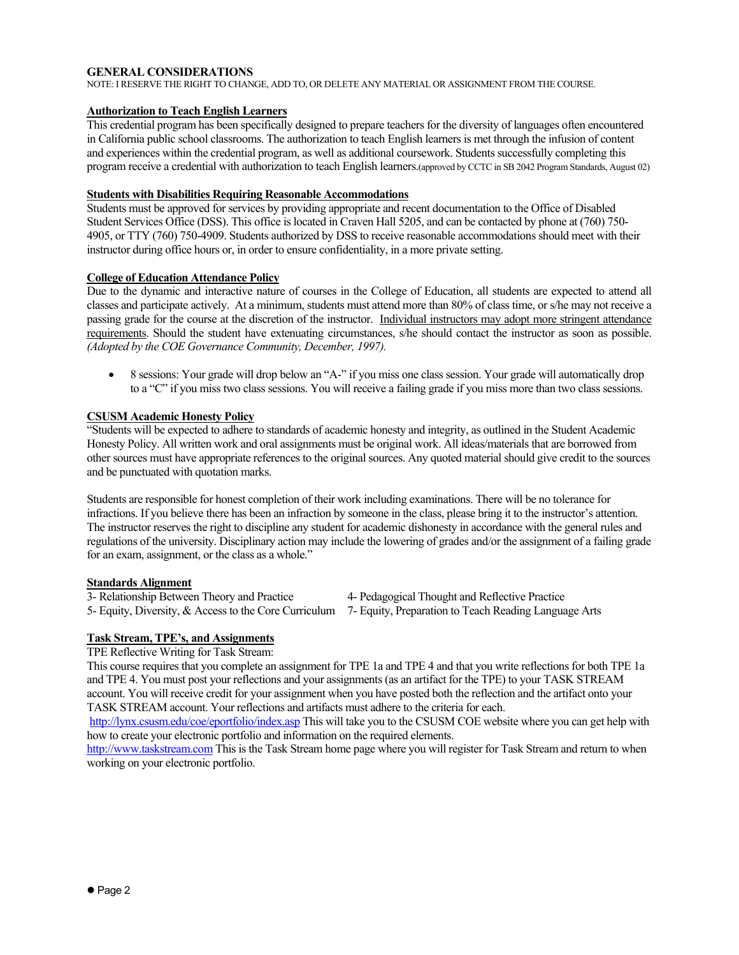## **GENERAL CONSIDERATIONS**

NOTE: I RESERVE THE RIGHT TO CHANGE, ADD TO, OR DELETE ANY MATERIAL OR ASSIGNMENT FROM THE COURSE.

## **Authorization to Teach English Learners**

This credential program has been specifically designed to prepare teachers for the diversity of languages often encountered in California public school classrooms. The authorization to teach English learners is met through the infusion of content and experiences within the credential program, as well as additional coursework. Students successfully completing this program receive a credential with authorization to teach English learners.(approved by CCTC in SB 2042 Program Standards, August 02)

## **Students with Disabilities Requiring Reasonable Accommodations**

Students must be approved for services by providing appropriate and recent documentation to the Office of Disabled Student Services Office (DSS). This office is located in Craven Hall 5205, and can be contacted by phone at (760) 750- 4905, or TTY (760) 750-4909. Students authorized by DSS to receive reasonable accommodations should meet with their instructor during office hours or, in order to ensure confidentiality, in a more private setting.

## **College of Education Attendance Policy**

Due to the dynamic and interactive nature of courses in the College of Education, all students are expected to attend all classes and participate actively. At a minimum, students must attend more than 80% of class time, or s/he may not receive a passing grade for the course at the discretion of the instructor. Individual instructors may adopt more stringent attendance requirements. Should the student have extenuating circumstances, s/he should contact the instructor as soon as possible. *(Adopted by the COE Governance Community, December, 1997).*

• 8 sessions: Your grade will drop below an "A-" if you miss one class session. Your grade will automatically drop to a "C" if you miss two class sessions. You will receive a failing grade if you miss more than two class sessions.

## **CSUSM Academic Honesty Policy**

"Students will be expected to adhere to standards of academic honesty and integrity, as outlined in the Student Academic Honesty Policy. All written work and oral assignments must be original work. All ideas/materials that are borrowed from other sources must have appropriate references to the original sources. Any quoted material should give credit to the sources and be punctuated with quotation marks.

Students are responsible for honest completion of their work including examinations. There will be no tolerance for infractions. If you believe there has been an infraction by someone in the class, please bring it to the instructor's attention. The instructor reserves the right to discipline any student for academic dishonesty in accordance with the general rules and regulations of the university. Disciplinary action may include the lowering of grades and/or the assignment of a failing grade for an exam, assignment, or the class as a whole."

## **Standards Alignment**

3- Relationship Between Theory and Practice 4- Pedagogical Thought and Reflective Practice

5- Equity, Diversity, & Access to the Core Curriculum 7- Equity, Preparation to Teach Reading Language Arts

## **Task Stream, TPE's, and Assignments**

TPE Reflective Writing for Task Stream:

This course requires that you complete an assignment for TPE 1a and TPE 4 and that you write reflections for both TPE 1a and TPE 4. You must post your reflections and your assignments (as an artifact for the TPE) to your TASK STREAM account. You will receive credit for your assignment when you have posted both the reflection and the artifact onto your TASK STREAM account. Your reflections and artifacts must adhere to the criteria for each.

http://lynx.csusm.edu/coe/eportfolio/index.asp This will take you to the CSUSM COE website where you can get help with how to create your electronic portfolio and information on the required elements.

http://www.taskstream.com This is the Task Stream home page where you will register for Task Stream and return to when working on your electronic portfolio.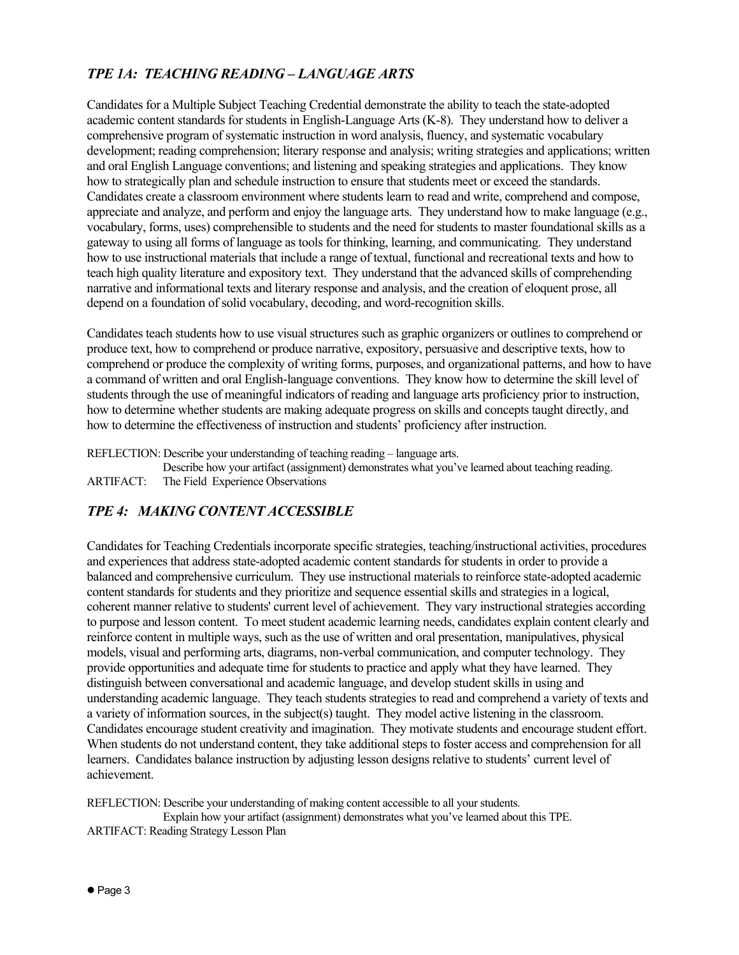## *TPE 1A: TEACHING READING – LANGUAGE ARTS*

Candidates for a Multiple Subject Teaching Credential demonstrate the ability to teach the state-adopted academic content standards for students in English-Language Arts (K-8). They understand how to deliver a comprehensive program of systematic instruction in word analysis, fluency, and systematic vocabulary development; reading comprehension; literary response and analysis; writing strategies and applications; written and oral English Language conventions; and listening and speaking strategies and applications. They know how to strategically plan and schedule instruction to ensure that students meet or exceed the standards. Candidates create a classroom environment where students learn to read and write, comprehend and compose, appreciate and analyze, and perform and enjoy the language arts. They understand how to make language (e.g., vocabulary, forms, uses) comprehensible to students and the need for students to master foundational skills as a gateway to using all forms of language as tools for thinking, learning, and communicating. They understand how to use instructional materials that include a range of textual, functional and recreational texts and how to teach high quality literature and expository text. They understand that the advanced skills of comprehending narrative and informational texts and literary response and analysis, and the creation of eloquent prose, all depend on a foundation of solid vocabulary, decoding, and word-recognition skills.

Candidates teach students how to use visual structures such as graphic organizers or outlines to comprehend or produce text, how to comprehend or produce narrative, expository, persuasive and descriptive texts, how to comprehend or produce the complexity of writing forms, purposes, and organizational patterns, and how to have a command of written and oral English-language conventions. They know how to determine the skill level of students through the use of meaningful indicators of reading and language arts proficiency prior to instruction, how to determine whether students are making adequate progress on skills and concepts taught directly, and how to determine the effectiveness of instruction and students' proficiency after instruction.

REFLECTION: Describe your understanding of teaching reading – language arts.

 Describe how your artifact (assignment) demonstrates what you've learned about teaching reading. ARTIFACT: The Field Experience Observations

## *TPE 4: MAKING CONTENT ACCESSIBLE*

Candidates for Teaching Credentials incorporate specific strategies, teaching/instructional activities, procedures and experiences that address state-adopted academic content standards for students in order to provide a balanced and comprehensive curriculum. They use instructional materials to reinforce state-adopted academic content standards for students and they prioritize and sequence essential skills and strategies in a logical, coherent manner relative to students' current level of achievement. They vary instructional strategies according to purpose and lesson content. To meet student academic learning needs, candidates explain content clearly and reinforce content in multiple ways, such as the use of written and oral presentation, manipulatives, physical models, visual and performing arts, diagrams, non-verbal communication, and computer technology. They provide opportunities and adequate time for students to practice and apply what they have learned. They distinguish between conversational and academic language, and develop student skills in using and understanding academic language. They teach students strategies to read and comprehend a variety of texts and a variety of information sources, in the subject(s) taught. They model active listening in the classroom. Candidates encourage student creativity and imagination. They motivate students and encourage student effort. When students do not understand content, they take additional steps to foster access and comprehension for all learners. Candidates balance instruction by adjusting lesson designs relative to students' current level of achievement.

REFLECTION: Describe your understanding of making content accessible to all your students. Explain how your artifact (assignment) demonstrates what you've learned about this TPE. ARTIFACT: Reading Strategy Lesson Plan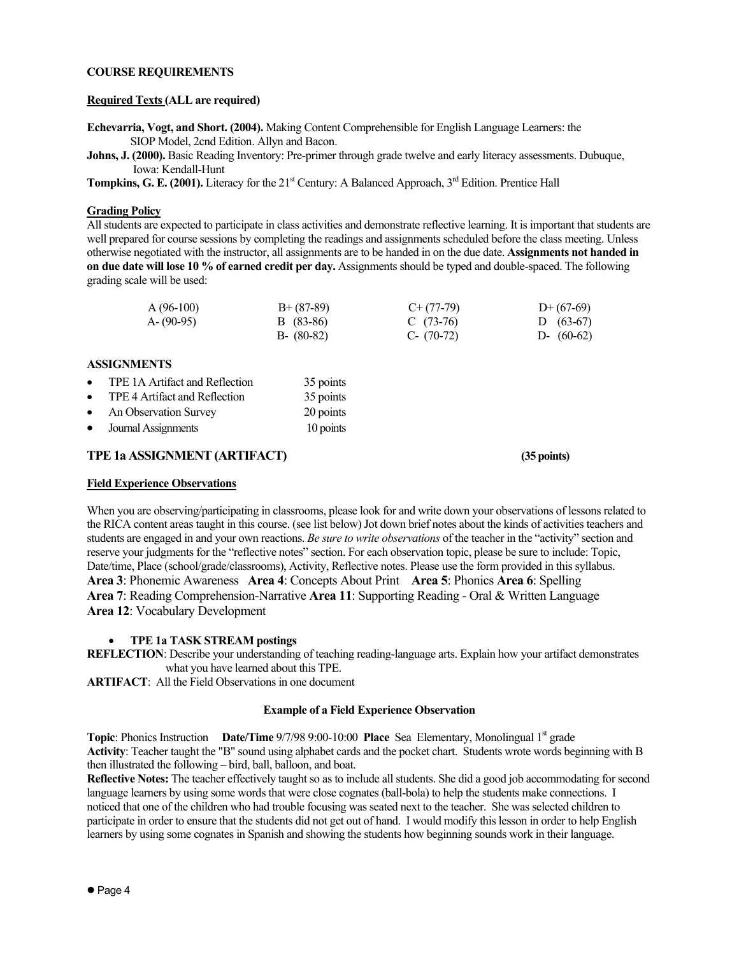## **COURSE REQUIREMENTS**

## **Required Texts (ALL are required)**

**Echevarria, Vogt, and Short. (2004).** Making Content Comprehensible for English Language Learners: the SIOP Model, 2cnd Edition. Allyn and Bacon.

**Johns, J. (2000).** Basic Reading Inventory: Pre-primer through grade twelve and early literacy assessments. Dubuque, Iowa: Kendall-Hunt

**Tompkins, G. E. (2001).** Literacy for the 21<sup>st</sup> Century: A Balanced Approach, 3<sup>rd</sup> Edition. Prentice Hall

## **Grading Policy**

All students are expected to participate in class activities and demonstrate reflective learning. It is important that students are well prepared for course sessions by completing the readings and assignments scheduled before the class meeting. Unless otherwise negotiated with the instructor, all assignments are to be handed in on the due date. **Assignments not handed in on due date will lose 10 % of earned credit per day.** Assignments should be typed and double-spaced. The following grading scale will be used:

| $A(96-100)$ | $B+ (87-89)$  | $C+(77-79)$  | $D+(67-69)$  |
|-------------|---------------|--------------|--------------|
| $A-(90-95)$ | B (83-86)     | C $(73-76)$  | D $(63-67)$  |
|             | $B - (80-82)$ | C- $(70-72)$ | D- $(60-62)$ |

## **ASSIGNMENTS**

| $\bullet$ | TPE 1A Artifact and Reflection | 35 points |
|-----------|--------------------------------|-----------|
| $\bullet$ | TPE 4 Artifact and Reflection  | 35 points |
| $\bullet$ | An Observation Survey          | 20 points |
| $\bullet$ | Journal Assignments            | 10 points |

## **TPE 1a ASSIGNMENT (ARTIFACT) (35 points)**

### **Field Experience Observations**

When you are observing/participating in classrooms, please look for and write down your observations of lessons related to the RICA content areas taught in this course. (see list below) Jot down brief notes about the kinds of activities teachers and students are engaged in and your own reactions. *Be sure to write observations* of the teacher in the "activity" section and reserve your judgments for the "reflective notes" section. For each observation topic, please be sure to include: Topic, Date/time, Place (school/grade/classrooms), Activity, Reflective notes. Please use the form provided in this syllabus. **Area 3**: Phonemic Awareness **Area 4**: Concepts About Print **Area 5**: Phonics **Area 6**: Spelling **Area 7**: Reading Comprehension-Narrative **Area 11**: Supporting Reading - Oral & Written Language **Area 12**: Vocabulary Development

## • **TPE 1a TASK STREAM postings**

**REFLECTION**: Describe your understanding of teaching reading-language arts. Explain how your artifact demonstrates what you have learned about this TPE.

**ARTIFACT**: All the Field Observations in one document

## **Example of a Field Experience Observation**

**Topic**: Phonics Instruction **Date/Time** 9/7/98 9:00-10:00 **Place** Sea Elementary, Monolingual 1<sup>st</sup> grade **Activity**: Teacher taught the "B" sound using alphabet cards and the pocket chart. Students wrote words beginning with B then illustrated the following – bird, ball, balloon, and boat.

**Reflective Notes:** The teacher effectively taught so as to include all students. She did a good job accommodating for second language learners by using some words that were close cognates (ball-bola) to help the students make connections. I noticed that one of the children who had trouble focusing was seated next to the teacher. She was selected children to participate in order to ensure that the students did not get out of hand. I would modify this lesson in order to help English learners by using some cognates in Spanish and showing the students how beginning sounds work in their language.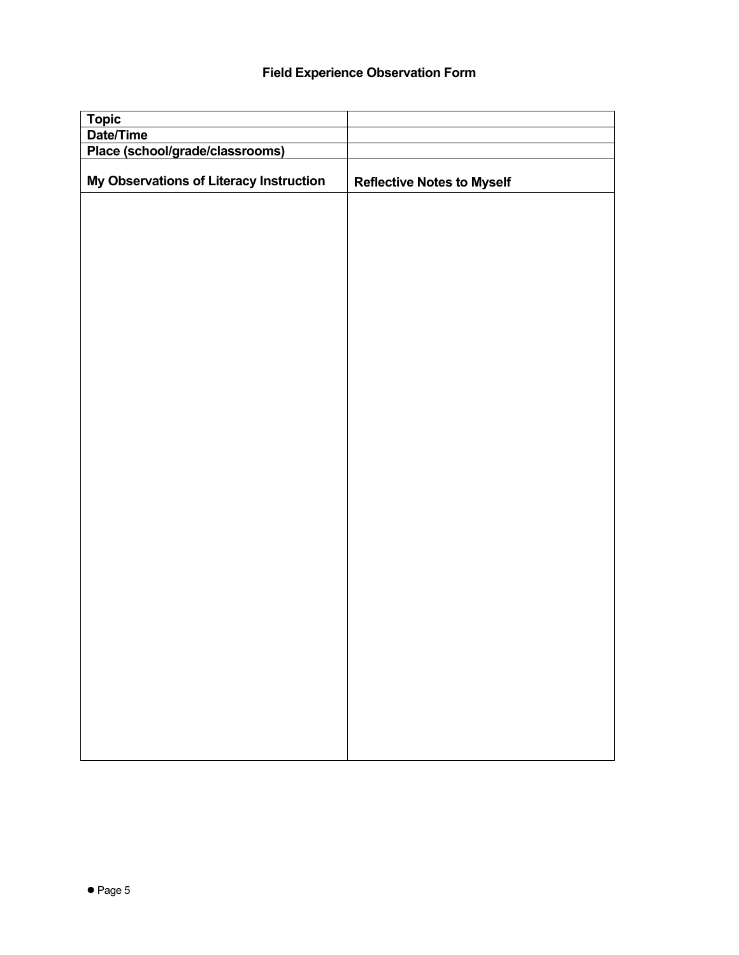## **Field Experience Observation Form**

| <b>Topic</b>                            |                                   |
|-----------------------------------------|-----------------------------------|
| Date/Time                               |                                   |
| Place (school/grade/classrooms)         |                                   |
| My Observations of Literacy Instruction | <b>Reflective Notes to Myself</b> |
|                                         |                                   |
|                                         |                                   |
|                                         |                                   |
|                                         |                                   |
|                                         |                                   |
|                                         |                                   |
|                                         |                                   |
|                                         |                                   |
|                                         |                                   |
|                                         |                                   |
|                                         |                                   |
|                                         |                                   |
|                                         |                                   |
|                                         |                                   |
|                                         |                                   |
|                                         |                                   |
|                                         |                                   |
|                                         |                                   |
|                                         |                                   |
|                                         |                                   |
|                                         |                                   |
|                                         |                                   |
|                                         |                                   |
|                                         |                                   |
|                                         |                                   |
|                                         |                                   |
|                                         |                                   |
|                                         |                                   |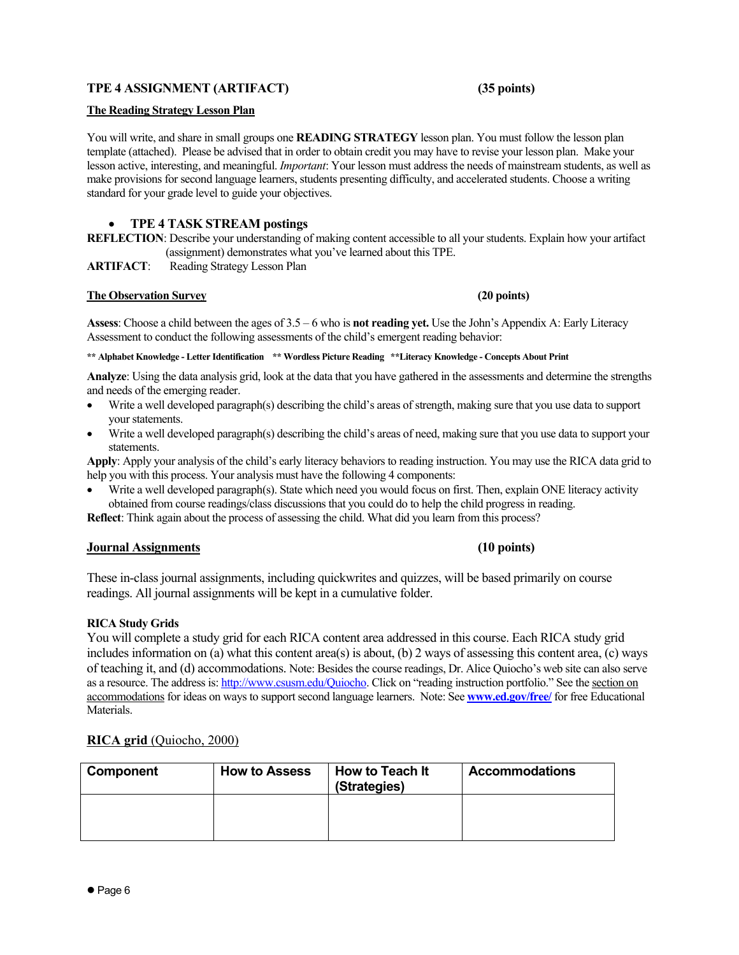## **TPE 4 ASSIGNMENT (ARTIFACT) (35 points)**

## **The Reading Strategy Lesson Plan**

You will write, and share in small groups one **READING STRATEGY** lesson plan. You must follow the lesson plan template (attached). Please be advised that in order to obtain credit you may have to revise your lesson plan. Make your lesson active, interesting, and meaningful. *Important*: Your lesson must address the needs of mainstream students, as well as make provisions for second language learners, students presenting difficulty, and accelerated students. Choose a writing standard for your grade level to guide your objectives.

## • **TPE 4 TASK STREAM postings**

**REFLECTION**: Describe your understanding of making content accessible to all your students. Explain how your artifact (assignment) demonstrates what you've learned about this TPE.

**ARTIFACT**: Reading Strategy Lesson Plan

## **The Observation Survey**  (20 points) **(20 points)**

**Assess**: Choose a child between the ages of 3.5 – 6 who is **not reading yet.** Use the John's Appendix A: Early Literacy Assessment to conduct the following assessments of the child's emergent reading behavior:

**\*\* Alphabet Knowledge - Letter Identification \*\* Wordless Picture Reading \*\*Literacy Knowledge - Concepts About Print** 

**Analyze**: Using the data analysis grid, look at the data that you have gathered in the assessments and determine the strengths and needs of the emerging reader.

- Write a well developed paragraph(s) describing the child's areas of strength, making sure that you use data to support your statements.
- Write a well developed paragraph(s) describing the child's areas of need, making sure that you use data to support your statements.

**Apply**: Apply your analysis of the child's early literacy behaviors to reading instruction. You may use the RICA data grid to help you with this process. Your analysis must have the following 4 components:

• Write a well developed paragraph(s). State which need you would focus on first. Then, explain ONE literacy activity obtained from course readings/class discussions that you could do to help the child progress in reading.

**Reflect**: Think again about the process of assessing the child. What did you learn from this process?

## **Journal Assignments (10 points)**

These in-class journal assignments, including quickwrites and quizzes, will be based primarily on course readings. All journal assignments will be kept in a cumulative folder.

## **RICA Study Grids**

You will complete a study grid for each RICA content area addressed in this course. Each RICA study grid includes information on (a) what this content area(s) is about, (b) 2 ways of assessing this content area, (c) ways of teaching it, and (d) accommodations. Note: Besides the course readings, Dr. Alice Quiocho's web site can also serve as a resource. The address is: http://www.csusm.edu/Quiocho. Click on "reading instruction portfolio." See the section on accommodations for ideas on ways to support second language learners. Note: See **www.ed.gov/free/** for free Educational Materials.

## **RICA grid** (Quiocho, 2000)

| Component | <b>How to Assess</b> | How to Teach It<br>(Strategies) | <b>Accommodations</b> |
|-----------|----------------------|---------------------------------|-----------------------|
|           |                      |                                 |                       |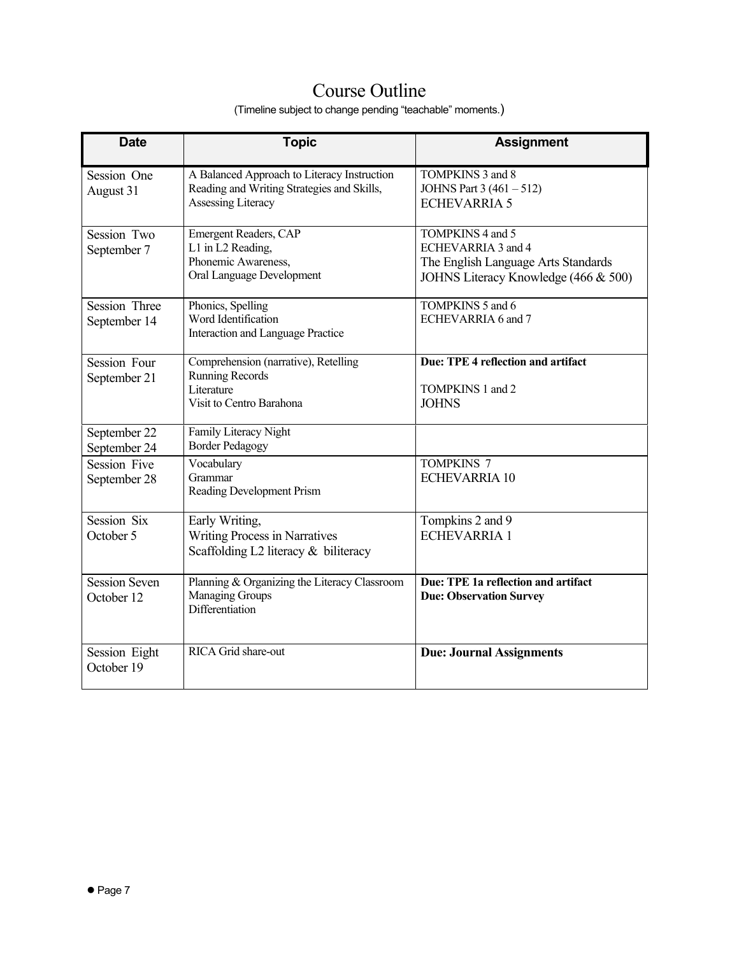# Course Outline

(Timeline subject to change pending "teachable" moments.)

| <b>Date</b>                         | <b>Topic</b>                                                                                                    | <b>Assignment</b>                                                                                                     |
|-------------------------------------|-----------------------------------------------------------------------------------------------------------------|-----------------------------------------------------------------------------------------------------------------------|
| Session One<br>August 31            | A Balanced Approach to Literacy Instruction<br>Reading and Writing Strategies and Skills,<br>Assessing Literacy | TOMPKINS 3 and 8<br>JOHNS Part 3 (461 - 512)<br><b>ECHEVARRIA 5</b>                                                   |
| Session Two<br>September 7          | Emergent Readers, CAP<br>L1 in L2 Reading,<br>Phonemic Awareness,<br>Oral Language Development                  | TOMPKINS 4 and 5<br>ECHEVARRIA 3 and 4<br>The English Language Arts Standards<br>JOHNS Literacy Knowledge (466 & 500) |
| Session Three<br>September 14       | Phonics, Spelling<br>Word Identification<br>Interaction and Language Practice                                   | TOMPKINS 5 and 6<br>ECHEVARRIA 6 and 7                                                                                |
| Session Four<br>September 21        | Comprehension (narrative), Retelling<br><b>Running Records</b><br>Literature<br>Visit to Centro Barahona        | Due: TPE 4 reflection and artifact<br>TOMPKINS 1 and 2<br><b>JOHNS</b>                                                |
| September 22<br>September 24        | Family Literacy Night<br><b>Border Pedagogy</b>                                                                 |                                                                                                                       |
| <b>Session Five</b><br>September 28 | Vocabulary<br>Grammar<br>Reading Development Prism                                                              | <b>TOMPKINS 7</b><br><b>ECHEVARRIA 10</b>                                                                             |
| Session Six<br>October 5            | Early Writing,<br><b>Writing Process in Narratives</b><br>Scaffolding L2 literacy & biliteracy                  | Tompkins 2 and 9<br><b>ECHEVARRIA 1</b>                                                                               |
| <b>Session Seven</b><br>October 12  | Planning & Organizing the Literacy Classroom<br><b>Managing Groups</b><br>Differentiation                       | Due: TPE 1a reflection and artifact<br><b>Due: Observation Survey</b>                                                 |
| Session Eight<br>October 19         | RICA Grid share-out                                                                                             | <b>Due: Journal Assignments</b>                                                                                       |